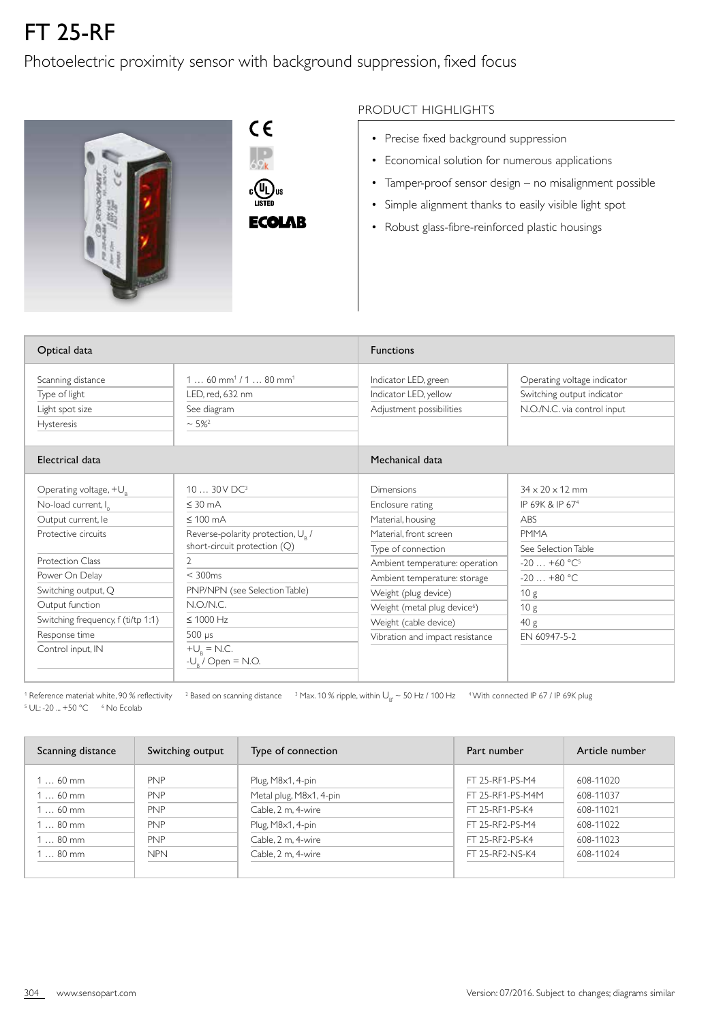## FT 25-RF

## Photoelectric proximity sensor with background suppression, fixed focus



 $C \in$  $\frac{1}{69k}$  $\begin{matrix} \mathbb{C} \\ \mathbb{C} \end{matrix}$   $\begin{matrix} \mathbb{U}_L \end{matrix}$  us **ECOLAR** 

## PRODUCT HIGHLIGHTS

- Precise fixed background suppression
- Economical solution for numerous applications
- Tamper-proof sensor design no misalignment possible
- Simple alignment thanks to easily visible light spot
- Robust glass-fibre-reinforced plastic housings

| Optical data                                                                                  |                                                                                                          | <b>Functions</b>                                                                             |                                                                                          |
|-----------------------------------------------------------------------------------------------|----------------------------------------------------------------------------------------------------------|----------------------------------------------------------------------------------------------|------------------------------------------------------------------------------------------|
| Scanning distance<br>Type of light<br>Light spot size<br><b>Hysteresis</b><br>Electrical data | $160$ mm <sup>1</sup> / $180$ mm <sup>1</sup><br>LED, red, 632 nm<br>See diagram<br>$~1$ 5% <sup>2</sup> | Indicator LED, green<br>Indicator LED, yellow<br>Adjustment possibilities<br>Mechanical data | Operating voltage indicator<br>Switching output indicator<br>N.O./N.C. via control input |
|                                                                                               |                                                                                                          |                                                                                              |                                                                                          |
| Operating voltage, $+U_R$                                                                     | 10  30 V DC <sup>3</sup>                                                                                 | <b>Dimensions</b>                                                                            | $34 \times 20 \times 12$ mm                                                              |
| No-load current, I <sub>o</sub>                                                               | $\leq$ 30 mA                                                                                             | Enclosure rating                                                                             | IP 69K & IP 67 <sup>4</sup>                                                              |
| Output current, le                                                                            | $\leq 100$ mA                                                                                            | Material, housing                                                                            | <b>ABS</b>                                                                               |
| Protective circuits                                                                           | Reverse-polarity protection, U <sub>R</sub> /                                                            | Material, front screen                                                                       | <b>PMMA</b>                                                                              |
|                                                                                               | short-circuit protection (Q)                                                                             | Type of connection                                                                           | See Selection Table                                                                      |
| Protection Class                                                                              | 2                                                                                                        | Ambient temperature: operation                                                               | $-20+60$ °C <sup>5</sup>                                                                 |
| Power On Delay                                                                                | $<$ 300 $ms$                                                                                             | Ambient temperature: storage                                                                 | $-20+80$ °C                                                                              |
| Switching output, Q                                                                           | PNP/NPN (see Selection Table)                                                                            | Weight (plug device)                                                                         | 10 <sub>g</sub>                                                                          |
| Output function                                                                               | N.O/N.C.                                                                                                 | Weight (metal plug device <sup>6</sup> )                                                     | 10 g                                                                                     |
| Switching frequency, f (ti/tp 1:1)                                                            | $\leq 1000$ Hz                                                                                           | Weight (cable device)                                                                        | 40 g                                                                                     |
| Response time                                                                                 | $500 \mu s$                                                                                              | Vibration and impact resistance                                                              | FN 60947-5-2                                                                             |
| Control input, IN                                                                             | $+U_{\rm R}$ = N.C.<br>$-U_{R}$ / Open = N.O.                                                            |                                                                                              |                                                                                          |

 $^{\rm 1}$  Reference material: white, 90 % reflectivity  $^{-2}$  Based on scanning distance  $^{-3}$  Max. 10 % ripple, within  $\bigcup_{\rm B} \sim$  50 Hz / 100 Hz  $^{-4}$  With connected IP 67 / IP 69K plug <sup>5</sup> UL: -20 ... +50 °C 6 No Ecolab

| Scanning distance | Switching output | Type of connection      | Part number      | Article number |
|-------------------|------------------|-------------------------|------------------|----------------|
| $160$ mm          | <b>PNP</b>       | Plug, M8x1, 4-pin       | FT 25-RF1-PS-M4  | 608-11020      |
| $160$ mm          | <b>PNP</b>       | Metal plug, M8x1, 4-pin | FT 25-RF1-PS-M4M | 608-11037      |
| $160$ mm          | <b>PNP</b>       | Cable, 2 m, 4-wire      | FT 25-RF1-PS-K4  | 608-11021      |
| $180$ mm          | <b>PNP</b>       | Plug, M8x1, 4-pin       | FT 25-RF2-PS-M4  | 608-11022      |
| $180$ mm          | <b>PNP</b>       | Cable, 2 m, 4-wire      | FT 25-RF2-PS-K4  | 608-11023      |
| $180$ mm          | <b>NPN</b>       | Cable, 2 m. 4-wire      | FT 25-RF2-NS-K4  | 608-11024      |
|                   |                  |                         |                  |                |